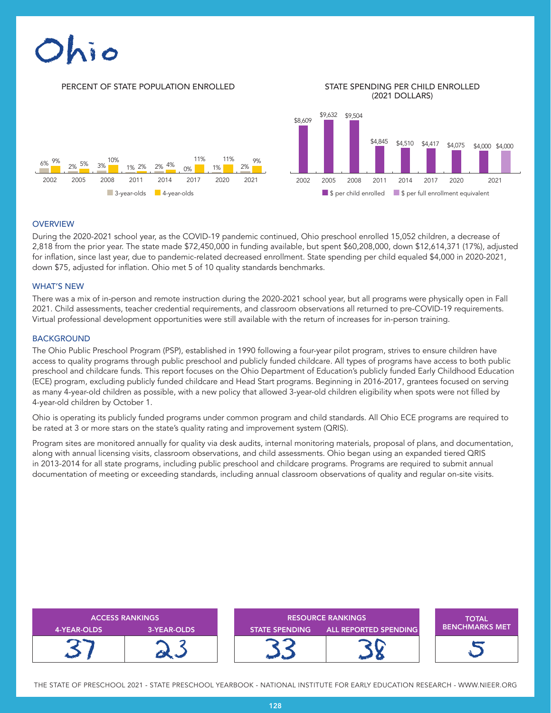

## **OVERVIEW**

During the 2020-2021 school year, as the COVID-19 pandemic continued, Ohio preschool enrolled 15,052 children, a decrease of 2,818 from the prior year. The state made \$72,450,000 in funding available, but spent \$60,208,000, down \$12,614,371 (17%), adjusted for inflation, since last year, due to pandemic-related decreased enrollment. State spending per child equaled \$4,000 in 2020-2021, down \$75, adjusted for inflation. Ohio met 5 of 10 quality standards benchmarks.

### WHAT'S NEW

There was a mix of in-person and remote instruction during the 2020-2021 school year, but all programs were physically open in Fall 2021. Child assessments, teacher credential requirements, and classroom observations all returned to pre-COVID-19 requirements. Virtual professional development opportunities were still available with the return of increases for in-person training.

### BACKGROUND

The Ohio Public Preschool Program (PSP), established in 1990 following a four-year pilot program, strives to ensure children have access to quality programs through public preschool and publicly funded childcare. All types of programs have access to both public preschool and childcare funds. This report focuses on the Ohio Department of Education's publicly funded Early Childhood Education (ECE) program, excluding publicly funded childcare and Head Start programs. Beginning in 2016-2017, grantees focused on serving as many 4-year-old children as possible, with a new policy that allowed 3-year-old children eligibility when spots were not filled by 4-year-old children by October 1.

Ohio is operating its publicly funded programs under common program and child standards. All Ohio ECE programs are required to be rated at 3 or more stars on the state's quality rating and improvement system (QRIS).

Program sites are monitored annually for quality via desk audits, internal monitoring materials, proposal of plans, and documentation, along with annual licensing visits, classroom observations, and child assessments. Ohio began using an expanded tiered QRIS in 2013-2014 for all state programs, including public preschool and childcare programs. Programs are required to submit annual documentation of meeting or exceeding standards, including annual classroom observations of quality and regular on-site visits.

| <b>ACCESS RANKINGS</b> |             | <b>RESOURCE RANKINGS</b> |                       | <b>TOTAL</b>              |
|------------------------|-------------|--------------------------|-----------------------|---------------------------|
| 4-YEAR-OLDS            | 3-YEAR-OLDS | <b>STATE SPENDING</b>    | ALL REPORTED SPENDING | <b>I BENCHMARKS MET '</b> |
|                        |             |                          |                       |                           |

THE STATE OF PRESCHOOL 2021 - STATE PRESCHOOL YEARBOOK - NATIONAL INSTITUTE FOR EARLY EDUCATION RESEARCH - WWW.NIEER.ORG